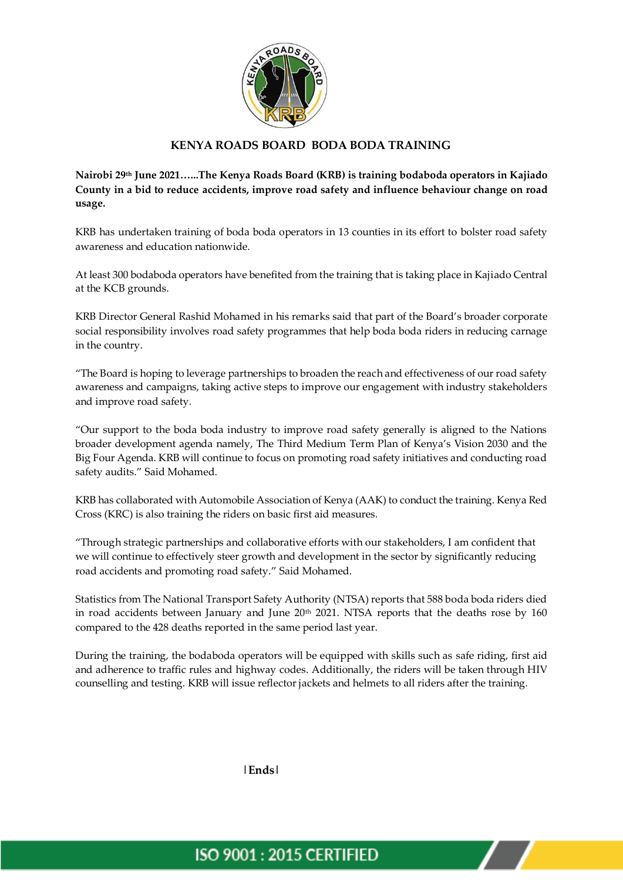

## **KENYA ROADS BOARD BODA BODA TRAINING**

**Nairobi 29th June 2021…...The Kenya Roads Board (KRB) is training bodaboda operators in Kajiado County in a bid to reduce accidents, improve road safety and influence behaviour change on road usage.**

KRB has undertaken training of boda boda operators in 13 counties in its effort to bolster road safety awareness and education nationwide.

At least 300 bodaboda operators have benefited from the training that is taking place in Kajiado Central at the KCB grounds.

KRB Director General Rashid Mohamed in his remarks said that part of the Board's broader corporate social responsibility involves road safety programmes that help boda boda riders in reducing carnage in the country.

"The Board is hoping to leverage partnerships to broaden the reach and effectiveness of our road safety awareness and campaigns, taking active steps to improve our engagement with industry stakeholders and improve road safety.

"Our support to the boda boda industry to improve road safety generally is aligned to the Nations broader development agenda namely, The Third Medium Term Plan of Kenya's Vision 2030 and the Big Four Agenda. KRB will continue to focus on promoting road safety initiatives and conducting road safety audits." Said Mohamed.

KRB has collaborated with Automobile Association of Kenya (AAK) to conduct the training. Kenya Red Cross (KRC) is also training the riders on basic first aid measures.

"Through strategic partnerships and collaborative efforts with our stakeholders, I am confident that we will continue to effectively steer growth and development in the sector by significantly reducing road accidents and promoting road safety." Said Mohamed.

Statistics from The National Transport Safety Authority (NTSA) reports that 588 boda boda riders died in road accidents between January and June  $20<sup>th</sup>$  2021. NTSA reports that the deaths rose by 160 compared to the 428 deaths reported in the same period last year.

During the training, the bodaboda operators will be equipped with skills such as safe riding, first aid and adherence to traffic rules and highway codes. Additionally, the riders will be taken through HIV counselling and testing. KRB will issue reflector jackets and helmets to all riders after the training.

**|Ends|**

## **ISO 9001: 2015 CERTIFIED**